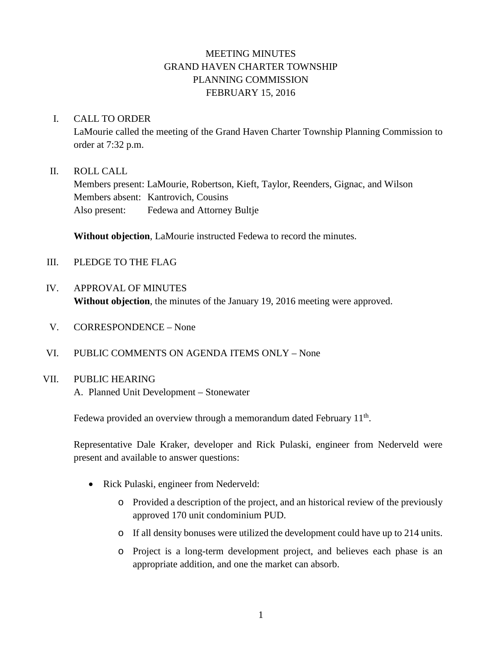# MEETING MINUTES GRAND HAVEN CHARTER TOWNSHIP PLANNING COMMISSION FEBRUARY 15, 2016

#### I. CALL TO ORDER

LaMourie called the meeting of the Grand Haven Charter Township Planning Commission to order at 7:32 p.m.

#### II. ROLL CALL

Members present: LaMourie, Robertson, Kieft, Taylor, Reenders, Gignac, and Wilson Members absent: Kantrovich, Cousins Also present: Fedewa and Attorney Bultje

**Without objection**, LaMourie instructed Fedewa to record the minutes.

- III. PLEDGE TO THE FLAG
- IV. APPROVAL OF MINUTES **Without objection**, the minutes of the January 19, 2016 meeting were approved.
- V. CORRESPONDENCE None
- VI. PUBLIC COMMENTS ON AGENDA ITEMS ONLY None

### VII. PUBLIC HEARING

A. Planned Unit Development – Stonewater

Fedewa provided an overview through a memorandum dated February  $11<sup>th</sup>$ .

Representative Dale Kraker, developer and Rick Pulaski, engineer from Nederveld were present and available to answer questions:

- Rick Pulaski, engineer from Nederveld:
	- o Provided a description of the project, and an historical review of the previously approved 170 unit condominium PUD.
	- o If all density bonuses were utilized the development could have up to 214 units.
	- o Project is a long-term development project, and believes each phase is an appropriate addition, and one the market can absorb.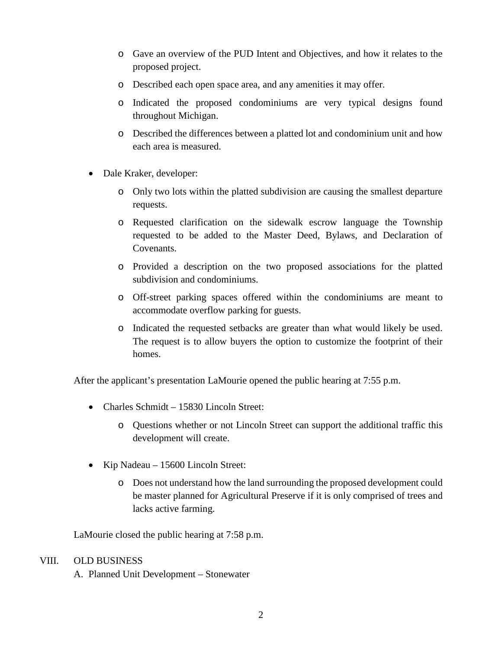- o Gave an overview of the PUD Intent and Objectives, and how it relates to the proposed project.
- o Described each open space area, and any amenities it may offer.
- o Indicated the proposed condominiums are very typical designs found throughout Michigan.
- o Described the differences between a platted lot and condominium unit and how each area is measured.
- Dale Kraker, developer:
	- o Only two lots within the platted subdivision are causing the smallest departure requests.
	- o Requested clarification on the sidewalk escrow language the Township requested to be added to the Master Deed, Bylaws, and Declaration of Covenants.
	- o Provided a description on the two proposed associations for the platted subdivision and condominiums.
	- o Off-street parking spaces offered within the condominiums are meant to accommodate overflow parking for guests.
	- o Indicated the requested setbacks are greater than what would likely be used. The request is to allow buyers the option to customize the footprint of their homes.

After the applicant's presentation LaMourie opened the public hearing at 7:55 p.m.

- Charles Schmidt 15830 Lincoln Street:
	- o Questions whether or not Lincoln Street can support the additional traffic this development will create.
- Kip Nadeau 15600 Lincoln Street:
	- o Does not understand how the land surrounding the proposed development could be master planned for Agricultural Preserve if it is only comprised of trees and lacks active farming.

LaMourie closed the public hearing at 7:58 p.m.

#### VIII. OLD BUSINESS

A. Planned Unit Development – Stonewater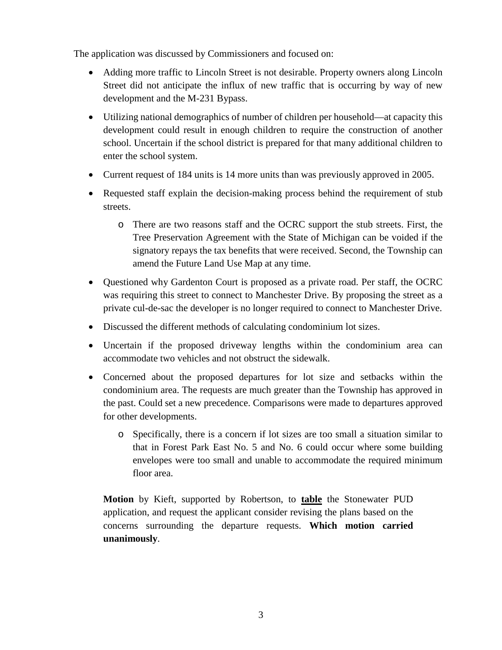The application was discussed by Commissioners and focused on:

- Adding more traffic to Lincoln Street is not desirable. Property owners along Lincoln Street did not anticipate the influx of new traffic that is occurring by way of new development and the M-231 Bypass.
- Utilizing national demographics of number of children per household—at capacity this development could result in enough children to require the construction of another school. Uncertain if the school district is prepared for that many additional children to enter the school system.
- Current request of 184 units is 14 more units than was previously approved in 2005.
- Requested staff explain the decision-making process behind the requirement of stub streets.
	- o There are two reasons staff and the OCRC support the stub streets. First, the Tree Preservation Agreement with the State of Michigan can be voided if the signatory repays the tax benefits that were received. Second, the Township can amend the Future Land Use Map at any time.
- Questioned why Gardenton Court is proposed as a private road. Per staff, the OCRC was requiring this street to connect to Manchester Drive. By proposing the street as a private cul-de-sac the developer is no longer required to connect to Manchester Drive.
- Discussed the different methods of calculating condominium lot sizes.
- Uncertain if the proposed driveway lengths within the condominium area can accommodate two vehicles and not obstruct the sidewalk.
- Concerned about the proposed departures for lot size and setbacks within the condominium area. The requests are much greater than the Township has approved in the past. Could set a new precedence. Comparisons were made to departures approved for other developments.
	- o Specifically, there is a concern if lot sizes are too small a situation similar to that in Forest Park East No. 5 and No. 6 could occur where some building envelopes were too small and unable to accommodate the required minimum floor area.

**Motion** by Kieft, supported by Robertson, to **table** the Stonewater PUD application, and request the applicant consider revising the plans based on the concerns surrounding the departure requests. **Which motion carried unanimously**.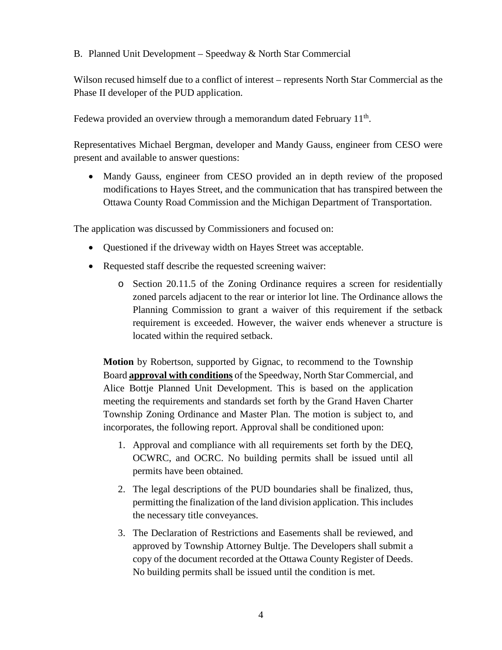B. Planned Unit Development – Speedway & North Star Commercial

Wilson recused himself due to a conflict of interest – represents North Star Commercial as the Phase II developer of the PUD application.

Fedewa provided an overview through a memorandum dated February  $11<sup>th</sup>$ .

Representatives Michael Bergman, developer and Mandy Gauss, engineer from CESO were present and available to answer questions:

• Mandy Gauss, engineer from CESO provided an in depth review of the proposed modifications to Hayes Street, and the communication that has transpired between the Ottawa County Road Commission and the Michigan Department of Transportation.

The application was discussed by Commissioners and focused on:

- Questioned if the driveway width on Hayes Street was acceptable.
- Requested staff describe the requested screening waiver:
	- o Section 20.11.5 of the Zoning Ordinance requires a screen for residentially zoned parcels adjacent to the rear or interior lot line. The Ordinance allows the Planning Commission to grant a waiver of this requirement if the setback requirement is exceeded. However, the waiver ends whenever a structure is located within the required setback.

**Motion** by Robertson, supported by Gignac, to recommend to the Township Board **approval with conditions** of the Speedway, North Star Commercial, and Alice Bottje Planned Unit Development. This is based on the application meeting the requirements and standards set forth by the Grand Haven Charter Township Zoning Ordinance and Master Plan. The motion is subject to, and incorporates, the following report. Approval shall be conditioned upon:

- 1. Approval and compliance with all requirements set forth by the DEQ, OCWRC, and OCRC. No building permits shall be issued until all permits have been obtained.
- 2. The legal descriptions of the PUD boundaries shall be finalized, thus, permitting the finalization of the land division application. This includes the necessary title conveyances.
- 3. The Declaration of Restrictions and Easements shall be reviewed, and approved by Township Attorney Bultje. The Developers shall submit a copy of the document recorded at the Ottawa County Register of Deeds. No building permits shall be issued until the condition is met.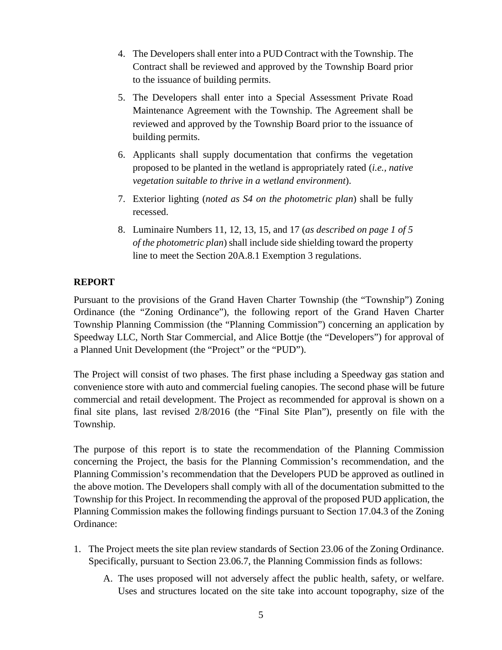- 4. The Developers shall enter into a PUD Contract with the Township. The Contract shall be reviewed and approved by the Township Board prior to the issuance of building permits.
- 5. The Developers shall enter into a Special Assessment Private Road Maintenance Agreement with the Township. The Agreement shall be reviewed and approved by the Township Board prior to the issuance of building permits.
- 6. Applicants shall supply documentation that confirms the vegetation proposed to be planted in the wetland is appropriately rated (*i.e., native vegetation suitable to thrive in a wetland environment*).
- 7. Exterior lighting (*noted as S4 on the photometric plan*) shall be fully recessed.
- 8. Luminaire Numbers 11, 12, 13, 15, and 17 (*as described on page 1 of 5 of the photometric plan*) shall include side shielding toward the property line to meet the Section 20A.8.1 Exemption 3 regulations.

## **REPORT**

Pursuant to the provisions of the Grand Haven Charter Township (the "Township") Zoning Ordinance (the "Zoning Ordinance"), the following report of the Grand Haven Charter Township Planning Commission (the "Planning Commission") concerning an application by Speedway LLC, North Star Commercial, and Alice Bottje (the "Developers") for approval of a Planned Unit Development (the "Project" or the "PUD").

The Project will consist of two phases. The first phase including a Speedway gas station and convenience store with auto and commercial fueling canopies. The second phase will be future commercial and retail development. The Project as recommended for approval is shown on a final site plans, last revised 2/8/2016 (the "Final Site Plan"), presently on file with the Township.

The purpose of this report is to state the recommendation of the Planning Commission concerning the Project, the basis for the Planning Commission's recommendation, and the Planning Commission's recommendation that the Developers PUD be approved as outlined in the above motion. The Developers shall comply with all of the documentation submitted to the Township for this Project. In recommending the approval of the proposed PUD application, the Planning Commission makes the following findings pursuant to Section 17.04.3 of the Zoning Ordinance:

- 1. The Project meets the site plan review standards of Section 23.06 of the Zoning Ordinance. Specifically, pursuant to Section 23.06.7, the Planning Commission finds as follows:
	- A. The uses proposed will not adversely affect the public health, safety, or welfare. Uses and structures located on the site take into account topography, size of the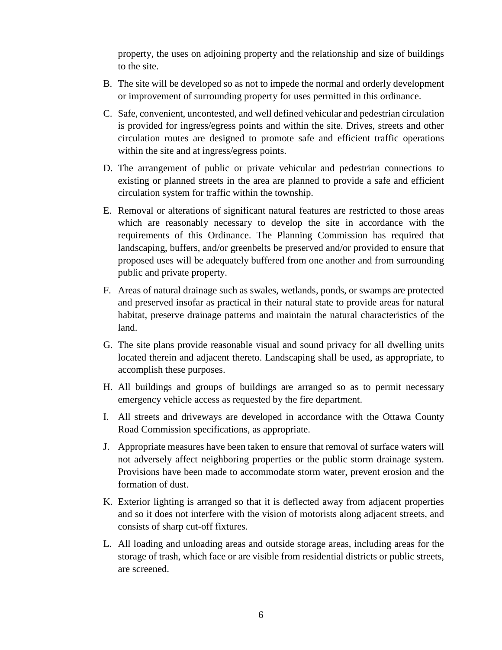property, the uses on adjoining property and the relationship and size of buildings to the site.

- B. The site will be developed so as not to impede the normal and orderly development or improvement of surrounding property for uses permitted in this ordinance.
- C. Safe, convenient, uncontested, and well defined vehicular and pedestrian circulation is provided for ingress/egress points and within the site. Drives, streets and other circulation routes are designed to promote safe and efficient traffic operations within the site and at ingress/egress points.
- D. The arrangement of public or private vehicular and pedestrian connections to existing or planned streets in the area are planned to provide a safe and efficient circulation system for traffic within the township.
- E. Removal or alterations of significant natural features are restricted to those areas which are reasonably necessary to develop the site in accordance with the requirements of this Ordinance. The Planning Commission has required that landscaping, buffers, and/or greenbelts be preserved and/or provided to ensure that proposed uses will be adequately buffered from one another and from surrounding public and private property.
- F. Areas of natural drainage such as swales, wetlands, ponds, or swamps are protected and preserved insofar as practical in their natural state to provide areas for natural habitat, preserve drainage patterns and maintain the natural characteristics of the land.
- G. The site plans provide reasonable visual and sound privacy for all dwelling units located therein and adjacent thereto. Landscaping shall be used, as appropriate, to accomplish these purposes.
- H. All buildings and groups of buildings are arranged so as to permit necessary emergency vehicle access as requested by the fire department.
- I. All streets and driveways are developed in accordance with the Ottawa County Road Commission specifications, as appropriate.
- J. Appropriate measures have been taken to ensure that removal of surface waters will not adversely affect neighboring properties or the public storm drainage system. Provisions have been made to accommodate storm water, prevent erosion and the formation of dust.
- K. Exterior lighting is arranged so that it is deflected away from adjacent properties and so it does not interfere with the vision of motorists along adjacent streets, and consists of sharp cut-off fixtures.
- L. All loading and unloading areas and outside storage areas, including areas for the storage of trash, which face or are visible from residential districts or public streets, are screened.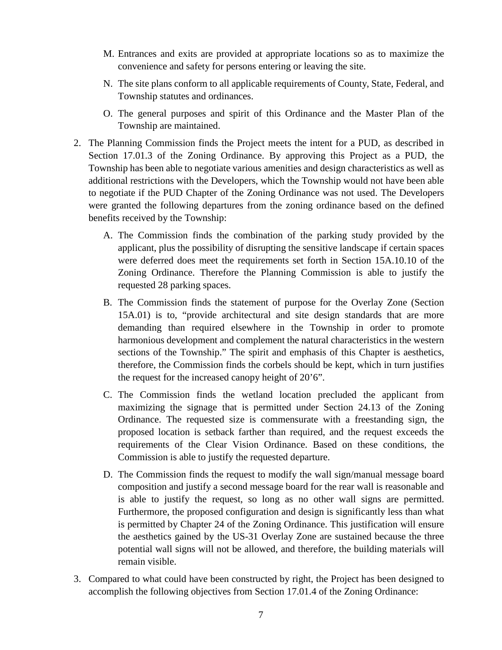- M. Entrances and exits are provided at appropriate locations so as to maximize the convenience and safety for persons entering or leaving the site.
- N. The site plans conform to all applicable requirements of County, State, Federal, and Township statutes and ordinances.
- O. The general purposes and spirit of this Ordinance and the Master Plan of the Township are maintained.
- 2. The Planning Commission finds the Project meets the intent for a PUD, as described in Section 17.01.3 of the Zoning Ordinance. By approving this Project as a PUD, the Township has been able to negotiate various amenities and design characteristics as well as additional restrictions with the Developers, which the Township would not have been able to negotiate if the PUD Chapter of the Zoning Ordinance was not used. The Developers were granted the following departures from the zoning ordinance based on the defined benefits received by the Township:
	- A. The Commission finds the combination of the parking study provided by the applicant, plus the possibility of disrupting the sensitive landscape if certain spaces were deferred does meet the requirements set forth in Section 15A.10.10 of the Zoning Ordinance. Therefore the Planning Commission is able to justify the requested 28 parking spaces.
	- B. The Commission finds the statement of purpose for the Overlay Zone (Section 15A.01) is to, "provide architectural and site design standards that are more demanding than required elsewhere in the Township in order to promote harmonious development and complement the natural characteristics in the western sections of the Township." The spirit and emphasis of this Chapter is aesthetics, therefore, the Commission finds the corbels should be kept, which in turn justifies the request for the increased canopy height of 20'6".
	- C. The Commission finds the wetland location precluded the applicant from maximizing the signage that is permitted under Section 24.13 of the Zoning Ordinance. The requested size is commensurate with a freestanding sign, the proposed location is setback farther than required, and the request exceeds the requirements of the Clear Vision Ordinance. Based on these conditions, the Commission is able to justify the requested departure.
	- D. The Commission finds the request to modify the wall sign/manual message board composition and justify a second message board for the rear wall is reasonable and is able to justify the request, so long as no other wall signs are permitted. Furthermore, the proposed configuration and design is significantly less than what is permitted by Chapter 24 of the Zoning Ordinance. This justification will ensure the aesthetics gained by the US-31 Overlay Zone are sustained because the three potential wall signs will not be allowed, and therefore, the building materials will remain visible.
- 3. Compared to what could have been constructed by right, the Project has been designed to accomplish the following objectives from Section 17.01.4 of the Zoning Ordinance: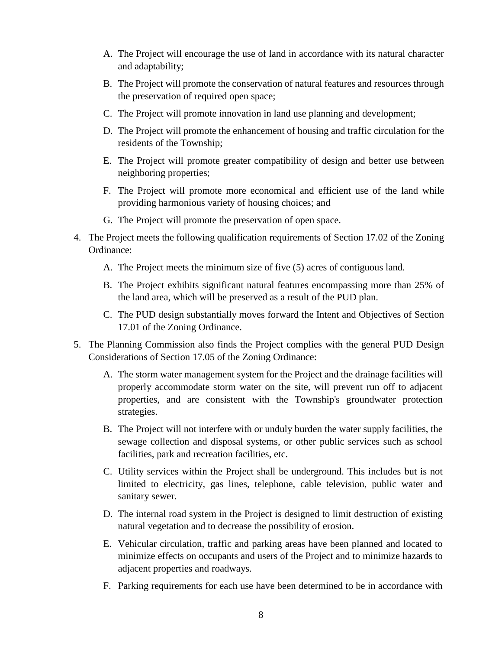- A. The Project will encourage the use of land in accordance with its natural character and adaptability;
- B. The Project will promote the conservation of natural features and resources through the preservation of required open space;
- C. The Project will promote innovation in land use planning and development;
- D. The Project will promote the enhancement of housing and traffic circulation for the residents of the Township;
- E. The Project will promote greater compatibility of design and better use between neighboring properties;
- F. The Project will promote more economical and efficient use of the land while providing harmonious variety of housing choices; and
- G. The Project will promote the preservation of open space.
- 4. The Project meets the following qualification requirements of Section 17.02 of the Zoning Ordinance:
	- A. The Project meets the minimum size of five (5) acres of contiguous land.
	- B. The Project exhibits significant natural features encompassing more than 25% of the land area, which will be preserved as a result of the PUD plan.
	- C. The PUD design substantially moves forward the Intent and Objectives of Section 17.01 of the Zoning Ordinance.
- 5. The Planning Commission also finds the Project complies with the general PUD Design Considerations of Section 17.05 of the Zoning Ordinance:
	- A. The storm water management system for the Project and the drainage facilities will properly accommodate storm water on the site, will prevent run off to adjacent properties, and are consistent with the Township's groundwater protection strategies.
	- B. The Project will not interfere with or unduly burden the water supply facilities, the sewage collection and disposal systems, or other public services such as school facilities, park and recreation facilities, etc.
	- C. Utility services within the Project shall be underground. This includes but is not limited to electricity, gas lines, telephone, cable television, public water and sanitary sewer.
	- D. The internal road system in the Project is designed to limit destruction of existing natural vegetation and to decrease the possibility of erosion.
	- E. Vehicular circulation, traffic and parking areas have been planned and located to minimize effects on occupants and users of the Project and to minimize hazards to adjacent properties and roadways.
	- F. Parking requirements for each use have been determined to be in accordance with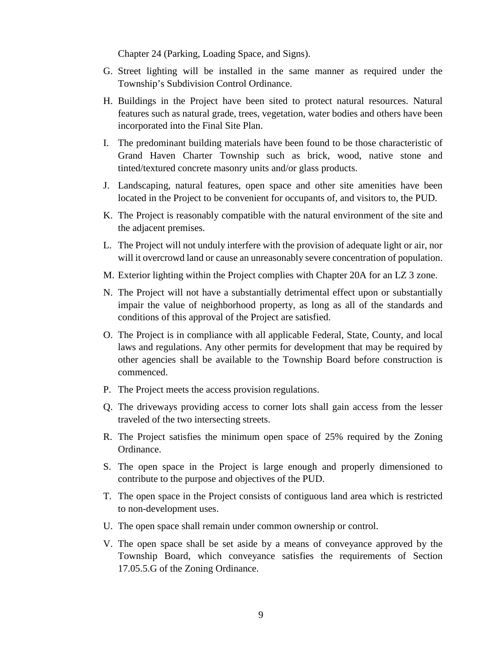Chapter 24 (Parking, Loading Space, and Signs).

- G. Street lighting will be installed in the same manner as required under the Township's Subdivision Control Ordinance.
- H. Buildings in the Project have been sited to protect natural resources. Natural features such as natural grade, trees, vegetation, water bodies and others have been incorporated into the Final Site Plan.
- I. The predominant building materials have been found to be those characteristic of Grand Haven Charter Township such as brick, wood, native stone and tinted/textured concrete masonry units and/or glass products.
- J. Landscaping, natural features, open space and other site amenities have been located in the Project to be convenient for occupants of, and visitors to, the PUD.
- K. The Project is reasonably compatible with the natural environment of the site and the adjacent premises.
- L. The Project will not unduly interfere with the provision of adequate light or air, nor will it overcrowd land or cause an unreasonably severe concentration of population.
- M. Exterior lighting within the Project complies with Chapter 20A for an LZ 3 zone.
- N. The Project will not have a substantially detrimental effect upon or substantially impair the value of neighborhood property, as long as all of the standards and conditions of this approval of the Project are satisfied.
- O. The Project is in compliance with all applicable Federal, State, County, and local laws and regulations. Any other permits for development that may be required by other agencies shall be available to the Township Board before construction is commenced.
- P. The Project meets the access provision regulations.
- Q. The driveways providing access to corner lots shall gain access from the lesser traveled of the two intersecting streets.
- R. The Project satisfies the minimum open space of 25% required by the Zoning Ordinance.
- S. The open space in the Project is large enough and properly dimensioned to contribute to the purpose and objectives of the PUD.
- T. The open space in the Project consists of contiguous land area which is restricted to non-development uses.
- U. The open space shall remain under common ownership or control.
- V. The open space shall be set aside by a means of conveyance approved by the Township Board, which conveyance satisfies the requirements of Section 17.05.5.G of the Zoning Ordinance.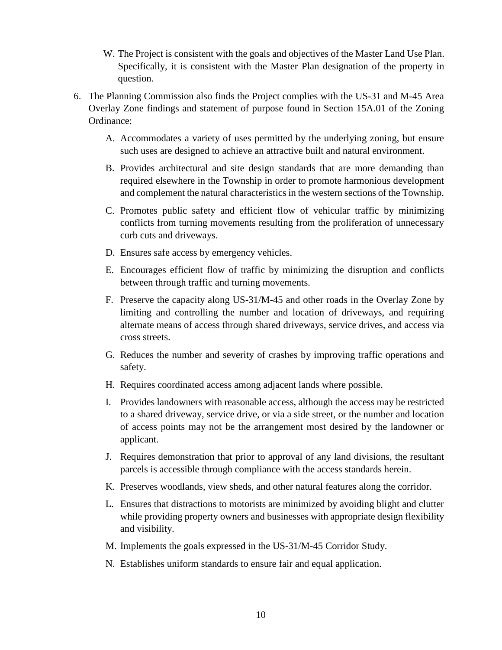- W. The Project is consistent with the goals and objectives of the Master Land Use Plan. Specifically, it is consistent with the Master Plan designation of the property in question.
- 6. The Planning Commission also finds the Project complies with the US-31 and M-45 Area Overlay Zone findings and statement of purpose found in Section 15A.01 of the Zoning Ordinance:
	- A. Accommodates a variety of uses permitted by the underlying zoning, but ensure such uses are designed to achieve an attractive built and natural environment.
	- B. Provides architectural and site design standards that are more demanding than required elsewhere in the Township in order to promote harmonious development and complement the natural characteristics in the western sections of the Township.
	- C. Promotes public safety and efficient flow of vehicular traffic by minimizing conflicts from turning movements resulting from the proliferation of unnecessary curb cuts and driveways.
	- D. Ensures safe access by emergency vehicles.
	- E. Encourages efficient flow of traffic by minimizing the disruption and conflicts between through traffic and turning movements.
	- F. Preserve the capacity along US-31/M-45 and other roads in the Overlay Zone by limiting and controlling the number and location of driveways, and requiring alternate means of access through shared driveways, service drives, and access via cross streets.
	- G. Reduces the number and severity of crashes by improving traffic operations and safety.
	- H. Requires coordinated access among adjacent lands where possible.
	- I. Provides landowners with reasonable access, although the access may be restricted to a shared driveway, service drive, or via a side street, or the number and location of access points may not be the arrangement most desired by the landowner or applicant.
	- J. Requires demonstration that prior to approval of any land divisions, the resultant parcels is accessible through compliance with the access standards herein.
	- K. Preserves woodlands, view sheds, and other natural features along the corridor.
	- L. Ensures that distractions to motorists are minimized by avoiding blight and clutter while providing property owners and businesses with appropriate design flexibility and visibility.
	- M. Implements the goals expressed in the US-31/M-45 Corridor Study.
	- N. Establishes uniform standards to ensure fair and equal application.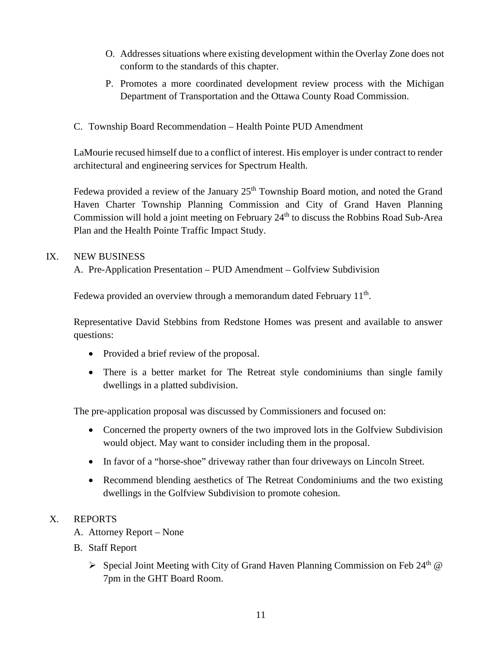- O. Addresses situations where existing development within the Overlay Zone does not conform to the standards of this chapter.
- P. Promotes a more coordinated development review process with the Michigan Department of Transportation and the Ottawa County Road Commission.
- C. Township Board Recommendation Health Pointe PUD Amendment

LaMourie recused himself due to a conflict of interest. His employer is under contract to render architectural and engineering services for Spectrum Health.

Fedewa provided a review of the January 25<sup>th</sup> Township Board motion, and noted the Grand Haven Charter Township Planning Commission and City of Grand Haven Planning Commission will hold a joint meeting on February 24<sup>th</sup> to discuss the Robbins Road Sub-Area Plan and the Health Pointe Traffic Impact Study.

## IX. NEW BUSINESS

A. Pre-Application Presentation – PUD Amendment – Golfview Subdivision

Fedewa provided an overview through a memorandum dated February  $11<sup>th</sup>$ .

Representative David Stebbins from Redstone Homes was present and available to answer questions:

- Provided a brief review of the proposal.
- There is a better market for The Retreat style condominiums than single family dwellings in a platted subdivision.

The pre-application proposal was discussed by Commissioners and focused on:

- Concerned the property owners of the two improved lots in the Golfview Subdivision would object. May want to consider including them in the proposal.
- In favor of a "horse-shoe" driveway rather than four driveways on Lincoln Street.
- Recommend blending aesthetics of The Retreat Condominiums and the two existing dwellings in the Golfview Subdivision to promote cohesion.

# X. REPORTS

- A. Attorney Report None
- B. Staff Report
	- Special Joint Meeting with City of Grand Haven Planning Commission on Feb 24<sup>th</sup>  $\omega$ 7pm in the GHT Board Room.